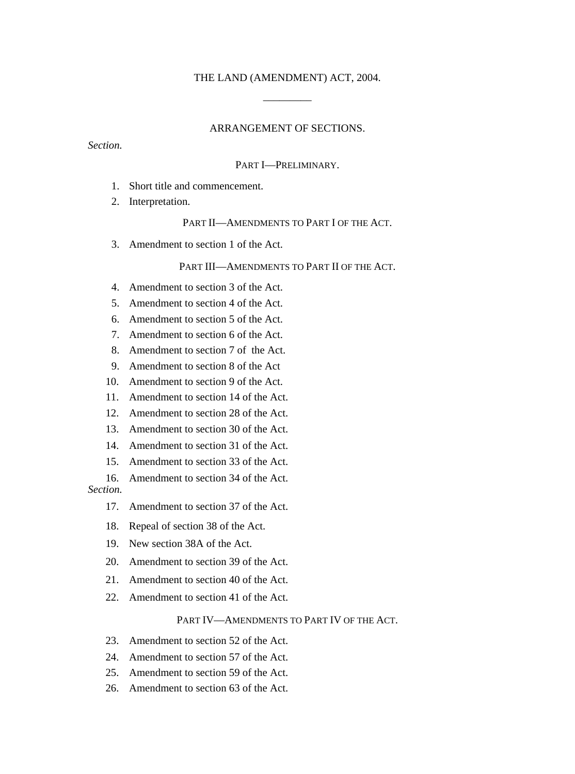# THE LAND (AMENDMENT) ACT, 2004. \_\_\_\_\_\_\_\_\_

#### ARRANGEMENT OF SECTIONS.

*Section.* 

#### PART I—PRELIMINARY.

- 1. Short title and commencement.
- 2. Interpretation.

#### PART II—AMENDMENTS TO PART I OF THE ACT.

3. Amendment to section 1 of the Act.

#### PART III—AMENDMENTS TO PART II OF THE ACT.

- 4. Amendment to section 3 of the Act.
- 5. Amendment to section 4 of the Act.
- 6. Amendment to section 5 of the Act.
- 7. Amendment to section 6 of the Act.
- 8. Amendment to section 7 of the Act.
- 9. Amendment to section 8 of the Act
- 10. Amendment to section 9 of the Act.
- 11. Amendment to section 14 of the Act.
- 12. Amendment to section 28 of the Act.
- 13. Amendment to section 30 of the Act.
- 14. Amendment to section 31 of the Act.
- 15. Amendment to section 33 of the Act.
- 16. Amendment to section 34 of the Act. *Section.*
	- 17. Amendment to section 37 of the Act.
	- 18. Repeal of section 38 of the Act.
	- 19. New section 38A of the Act.
	- 20. Amendment to section 39 of the Act.
	- 21. Amendment to section 40 of the Act.
	- 22. Amendment to section 41 of the Act.

## PART IV—AMENDMENTS TO PART IV OF THE ACT.

- 23. Amendment to section 52 of the Act.
- 24. Amendment to section 57 of the Act.
- 25. Amendment to section 59 of the Act.
- 26. Amendment to section 63 of the Act.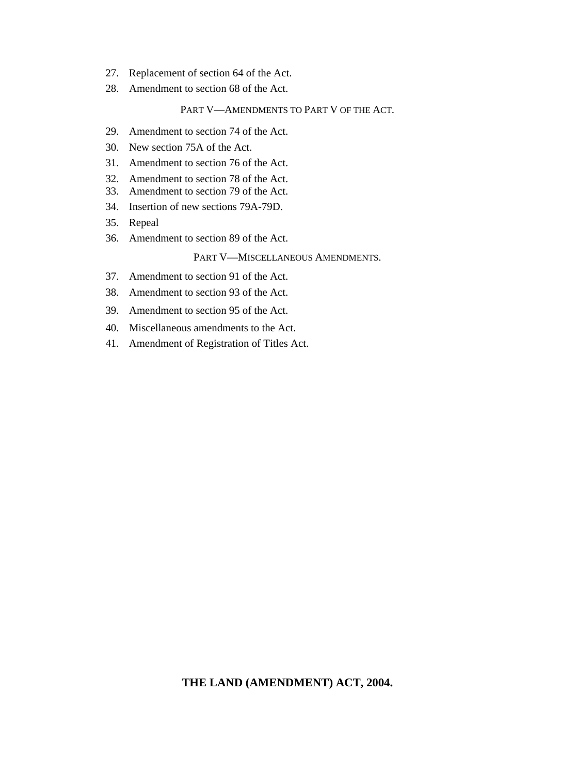- 27. Replacement of section 64 of the Act.
- 28. Amendment to section 68 of the Act.

### PART V—AMENDMENTS TO PART V OF THE ACT.

- 29. Amendment to section 74 of the Act.
- 30. New section 75A of the Act.
- 31. Amendment to section 76 of the Act.
- 32. Amendment to section 78 of the Act.
- 33. Amendment to section 79 of the Act.
- 34. Insertion of new sections 79A-79D.
- 35. Repeal
- 36. Amendment to section 89 of the Act.

### PART V—MISCELLANEOUS AMENDMENTS.

- 37. Amendment to section 91 of the Act.
- 38. Amendment to section 93 of the Act.
- 39. Amendment to section 95 of the Act.
- 40. Miscellaneous amendments to the Act.
- 41. Amendment of Registration of Titles Act.

## **THE LAND (AMENDMENT) ACT, 2004.**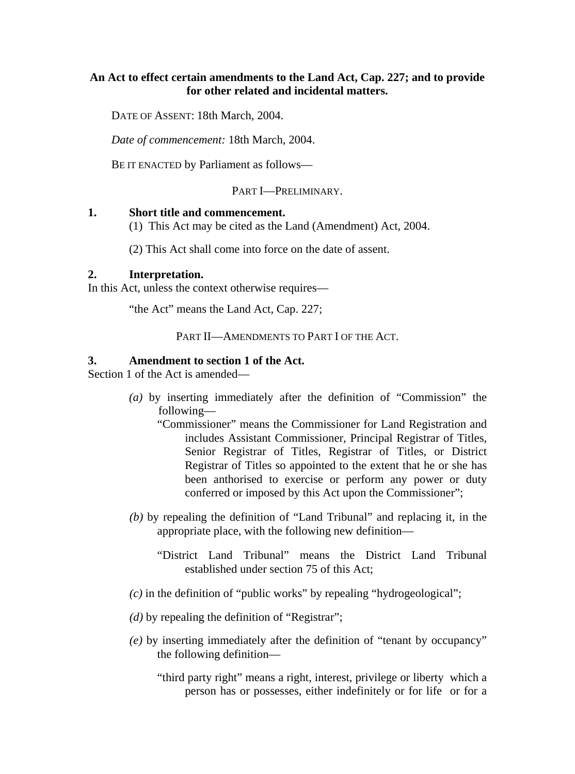## **An Act to effect certain amendments to the Land Act, Cap. 227; and to provide for other related and incidental matters.**

DATE OF ASSENT: 18th March, 2004.

*Date of commencement:* 18th March, 2004.

BE IT ENACTED by Parliament as follows—

## PART I—PRELIMINARY.

## **1. Short title and commencement.**

(1) This Act may be cited as the Land (Amendment) Act, 2004.

(2) This Act shall come into force on the date of assent.

## **2. Interpretation.**

In this Act, unless the context otherwise requires—

"the Act" means the Land Act, Cap. 227;

PART II—AMENDMENTS TO PART I OF THE ACT.

## **3. Amendment to section 1 of the Act.**

Section 1 of the Act is amended—

- *(a)* by inserting immediately after the definition of "Commission" the following—
	- "Commissioner" means the Commissioner for Land Registration and includes Assistant Commissioner, Principal Registrar of Titles, Senior Registrar of Titles, Registrar of Titles, or District Registrar of Titles so appointed to the extent that he or she has been anthorised to exercise or perform any power or duty conferred or imposed by this Act upon the Commissioner";
- *(b)* by repealing the definition of "Land Tribunal" and replacing it, in the appropriate place, with the following new definition—
	- "District Land Tribunal" means the District Land Tribunal established under section 75 of this Act;
- *(c)* in the definition of "public works" by repealing "hydrogeological";
- *(d)* by repealing the definition of "Registrar";
- *(e)* by inserting immediately after the definition of "tenant by occupancy" the following definition—
	- "third party right" means a right, interest, privilege or liberty which a person has or possesses, either indefinitely or for life or for a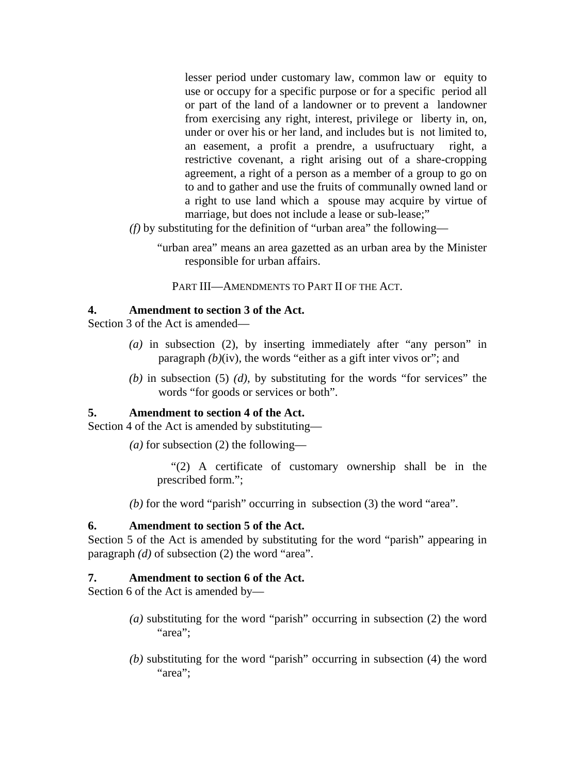lesser period under customary law, common law or equity to use or occupy for a specific purpose or for a specific period all or part of the land of a landowner or to prevent a landowner from exercising any right, interest, privilege or liberty in, on, under or over his or her land, and includes but is not limited to, an easement, a profit a prendre, a usufructuary right, a restrictive covenant, a right arising out of a share-cropping agreement, a right of a person as a member of a group to go on to and to gather and use the fruits of communally owned land or a right to use land which a spouse may acquire by virtue of marriage, but does not include a lease or sub-lease;"

*(f)* by substituting for the definition of "urban area" the following—

"urban area" means an area gazetted as an urban area by the Minister responsible for urban affairs.

PART III—AMENDMENTS TO PART II OF THE ACT.

## **4. Amendment to section 3 of the Act.**

Section 3 of the Act is amended—

- *(a)* in subsection (2), by inserting immediately after "any person" in paragraph *(b)*(iv), the words "either as a gift inter vivos or"; and
- *(b)* in subsection (5) *(d)*, by substituting for the words "for services" the words "for goods or services or both".

## **5. Amendment to section 4 of the Act.**

Section 4 of the Act is amended by substituting—

*(a)* for subsection (2) the following—

"(2) A certificate of customary ownership shall be in the prescribed form.";

*(b)* for the word "parish" occurring in subsection (3) the word "area".

## **6. Amendment to section 5 of the Act.**

Section 5 of the Act is amended by substituting for the word "parish" appearing in paragraph *(d)* of subsection (2) the word "area".

## **7. Amendment to section 6 of the Act.**

Section 6 of the Act is amended by—

- *(a)* substituting for the word "parish" occurring in subsection (2) the word "area":
- *(b)* substituting for the word "parish" occurring in subsection (4) the word "area":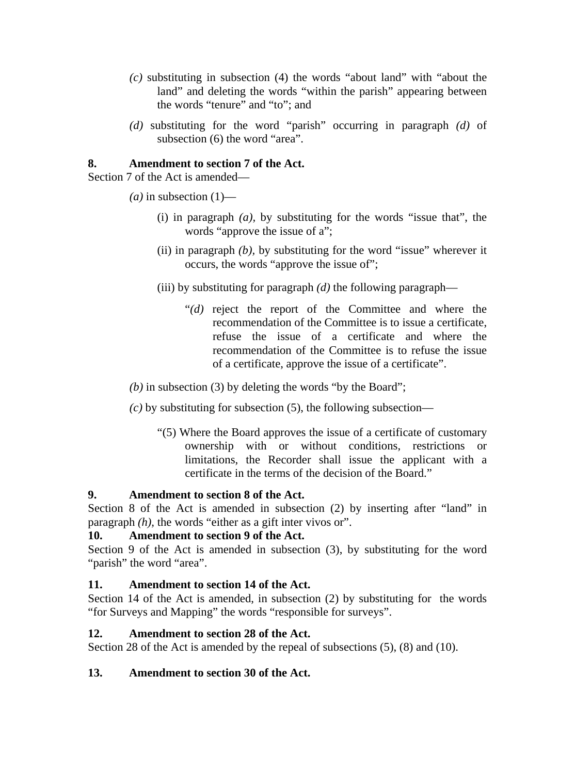- *(c)* substituting in subsection (4) the words "about land" with "about the land" and deleting the words "within the parish" appearing between the words "tenure" and "to"; and
- *(d)* substituting for the word "parish" occurring in paragraph *(d)* of subsection (6) the word "area".

## **8. Amendment to section 7 of the Act.**

Section 7 of the Act is amended—

- $(a)$  in subsection  $(1)$ 
	- (i) in paragraph *(a),* by substituting for the words "issue that", the words "approve the issue of a";
	- (ii) in paragraph *(b),* by substituting for the word "issue" wherever it occurs, the words "approve the issue of";
	- (iii) by substituting for paragraph *(d)* the following paragraph—
		- "*(d)* reject the report of the Committee and where the recommendation of the Committee is to issue a certificate, refuse the issue of a certificate and where the recommendation of the Committee is to refuse the issue of a certificate, approve the issue of a certificate".

*(b)* in subsection (3) by deleting the words "by the Board";

- *(c)* by substituting for subsection (5), the following subsection—
	- "(5) Where the Board approves the issue of a certificate of customary ownership with or without conditions, restrictions or limitations, the Recorder shall issue the applicant with a certificate in the terms of the decision of the Board."

# **9. Amendment to section 8 of the Act.**

Section 8 of the Act is amended in subsection (2) by inserting after "land" in paragraph *(h),* the words "either as a gift inter vivos or".

# **10. Amendment to section 9 of the Act.**

Section 9 of the Act is amended in subsection (3), by substituting for the word ""parish" the word "area".

# **11. Amendment to section 14 of the Act.**

Section 14 of the Act is amended, in subsection (2) by substituting for the words "for Surveys and Mapping" the words "responsible for surveys".

# **12. Amendment to section 28 of the Act.**

Section 28 of the Act is amended by the repeal of subsections (5), (8) and (10).

# **13. Amendment to section 30 of the Act.**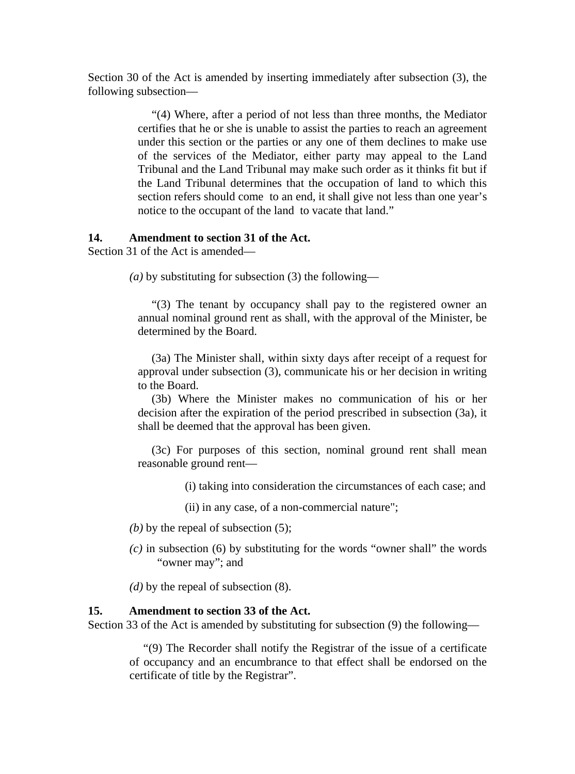Section 30 of the Act is amended by inserting immediately after subsection (3), the following subsection—

> "(4) Where, after a period of not less than three months, the Mediator certifies that he or she is unable to assist the parties to reach an agreement under this section or the parties or any one of them declines to make use of the services of the Mediator, either party may appeal to the Land Tribunal and the Land Tribunal may make such order as it thinks fit but if the Land Tribunal determines that the occupation of land to which this section refers should come to an end, it shall give not less than one year's notice to the occupant of the land to vacate that land."

## **14. Amendment to section 31 of the Act.**

Section 31 of the Act is amended—

*(a)* by substituting for subsection (3) the following—

"(3) The tenant by occupancy shall pay to the registered owner an annual nominal ground rent as shall, with the approval of the Minister, be determined by the Board.

(3a) The Minister shall, within sixty days after receipt of a request for approval under subsection (3), communicate his or her decision in writing to the Board.

(3b) Where the Minister makes no communication of his or her decision after the expiration of the period prescribed in subsection (3a), it shall be deemed that the approval has been given.

(3c) For purposes of this section, nominal ground rent shall mean reasonable ground rent—

(i) taking into consideration the circumstances of each case; and

(ii) in any case, of a non-commercial nature";

- *(b)* by the repeal of subsection (5);
- *(c)* in subsection (6) by substituting for the words "owner shall" the words "owner may"; and

*(d)* by the repeal of subsection (8).

#### **15. Amendment to section 33 of the Act.**

Section 33 of the Act is amended by substituting for subsection (9) the following—

"(9) The Recorder shall notify the Registrar of the issue of a certificate of occupancy and an encumbrance to that effect shall be endorsed on the certificate of title by the Registrar".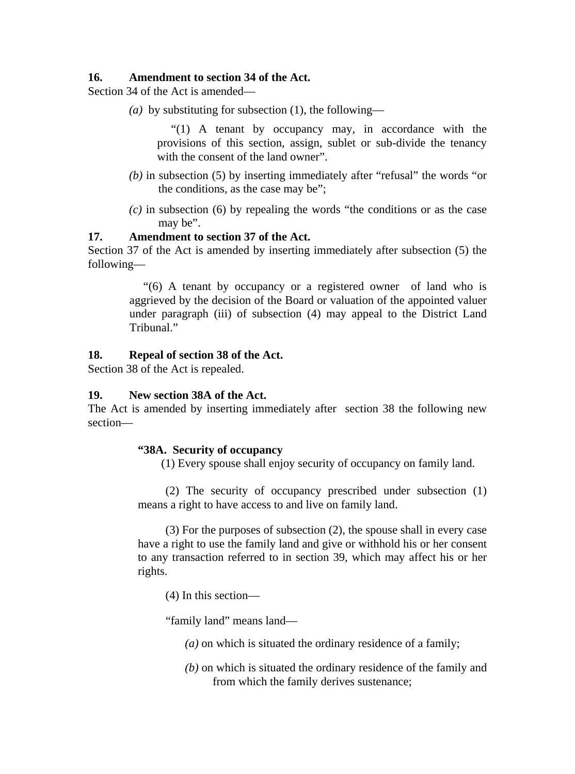## **16. Amendment to section 34 of the Act.**

Section 34 of the Act is amended—

*(a)* by substituting for subsection (1), the following—

"(1) A tenant by occupancy may, in accordance with the provisions of this section, assign, sublet or sub-divide the tenancy with the consent of the land owner".

- *(b)* in subsection (5) by inserting immediately after "refusal" the words "or the conditions, as the case may be";
- *(c)* in subsection (6) by repealing the words "the conditions or as the case may be".

## **17. Amendment to section 37 of the Act.**

Section 37 of the Act is amended by inserting immediately after subsection (5) the following—

> "(6) A tenant by occupancy or a registered owner of land who is aggrieved by the decision of the Board or valuation of the appointed valuer under paragraph (iii) of subsection (4) may appeal to the District Land Tribunal."

## **18. Repeal of section 38 of the Act.**

Section 38 of the Act is repealed.

## **19. New section 38A of the Act.**

The Act is amended by inserting immediately after section 38 the following new section—

## **"38A. Security of occupancy**

(1) Every spouse shall enjoy security of occupancy on family land.

(2) The security of occupancy prescribed under subsection (1) means a right to have access to and live on family land.

(3) For the purposes of subsection (2), the spouse shall in every case have a right to use the family land and give or withhold his or her consent to any transaction referred to in section 39, which may affect his or her rights.

(4) In this section—

"family land" means land—

- *(a)* on which is situated the ordinary residence of a family;
- *(b)* on which is situated the ordinary residence of the family and from which the family derives sustenance;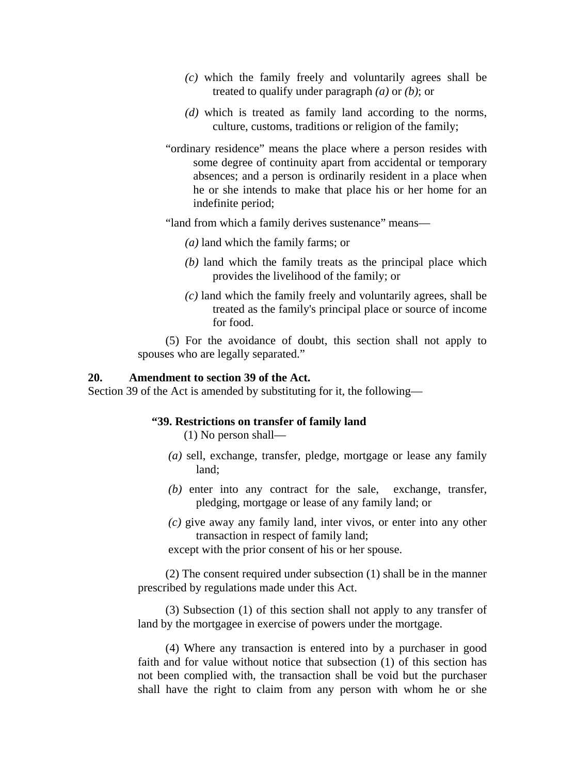- *(c)* which the family freely and voluntarily agrees shall be treated to qualify under paragraph *(a)* or *(b)*; or
- *(d)* which is treated as family land according to the norms, culture, customs, traditions or religion of the family;
- "ordinary residence" means the place where a person resides with some degree of continuity apart from accidental or temporary absences; and a person is ordinarily resident in a place when he or she intends to make that place his or her home for an indefinite period;

"land from which a family derives sustenance" means—

- *(a)* land which the family farms; or
- *(b)* land which the family treats as the principal place which provides the livelihood of the family; or
- *(c)* land which the family freely and voluntarily agrees, shall be treated as the family's principal place or source of income for food.

(5) For the avoidance of doubt, this section shall not apply to spouses who are legally separated."

## **20. Amendment to section 39 of the Act.**

Section 39 of the Act is amended by substituting for it, the following—

### **"39. Restrictions on transfer of family land**

(1) No person shall—

- *(a)* sell, exchange, transfer, pledge, mortgage or lease any family land;
- *(b)* enter into any contract for the sale, exchange, transfer, pledging, mortgage or lease of any family land; or
- *(c)* give away any family land, inter vivos, or enter into any other transaction in respect of family land;

except with the prior consent of his or her spouse.

(2) The consent required under subsection (1) shall be in the manner prescribed by regulations made under this Act.

(3) Subsection (1) of this section shall not apply to any transfer of land by the mortgagee in exercise of powers under the mortgage.

(4) Where any transaction is entered into by a purchaser in good faith and for value without notice that subsection (1) of this section has not been complied with, the transaction shall be void but the purchaser shall have the right to claim from any person with whom he or she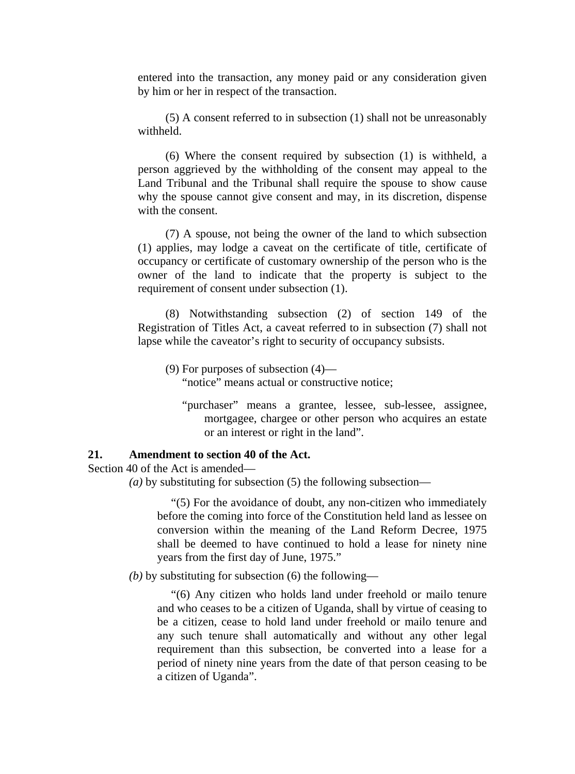entered into the transaction, any money paid or any consideration given by him or her in respect of the transaction.

(5) A consent referred to in subsection (1) shall not be unreasonably withheld.

(6) Where the consent required by subsection (1) is withheld, a person aggrieved by the withholding of the consent may appeal to the Land Tribunal and the Tribunal shall require the spouse to show cause why the spouse cannot give consent and may, in its discretion, dispense with the consent.

(7) A spouse, not being the owner of the land to which subsection (1) applies, may lodge a caveat on the certificate of title, certificate of occupancy or certificate of customary ownership of the person who is the owner of the land to indicate that the property is subject to the requirement of consent under subsection (1).

(8) Notwithstanding subsection (2) of section 149 of the Registration of Titles Act, a caveat referred to in subsection (7) shall not lapse while the caveator's right to security of occupancy subsists.

(9) For purposes of subsection (4)—

"notice" means actual or constructive notice;

"purchaser" means a grantee, lessee, sub-lessee, assignee, mortgagee, chargee or other person who acquires an estate or an interest or right in the land".

### **21. Amendment to section 40 of the Act.**

Section 40 of the Act is amended—

*(a)* by substituting for subsection (5) the following subsection—

"(5) For the avoidance of doubt, any non-citizen who immediately before the coming into force of the Constitution held land as lessee on conversion within the meaning of the Land Reform Decree, 1975 shall be deemed to have continued to hold a lease for ninety nine years from the first day of June, 1975."

*(b)* by substituting for subsection (6) the following—

"(6) Any citizen who holds land under freehold or mailo tenure and who ceases to be a citizen of Uganda, shall by virtue of ceasing to be a citizen, cease to hold land under freehold or mailo tenure and any such tenure shall automatically and without any other legal requirement than this subsection, be converted into a lease for a period of ninety nine years from the date of that person ceasing to be a citizen of Uganda".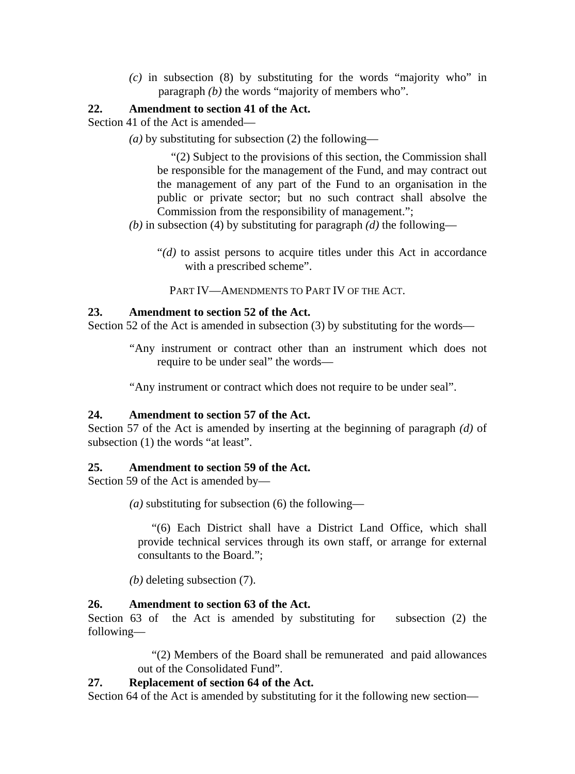*(c)* in subsection (8) by substituting for the words "majority who" in paragraph *(b)* the words "majority of members who".

## **22. Amendment to section 41 of the Act.**

Section 41 of the Act is amended—

*(a)* by substituting for subsection (2) the following—

"(2) Subject to the provisions of this section, the Commission shall be responsible for the management of the Fund, and may contract out the management of any part of the Fund to an organisation in the public or private sector; but no such contract shall absolve the Commission from the responsibility of management.";

- *(b)* in subsection (4) by substituting for paragraph *(d)* the following—
	- "*(d)* to assist persons to acquire titles under this Act in accordance with a prescribed scheme".

PART IV—AMENDMENTS TO PART IV OF THE ACT.

## **23. Amendment to section 52 of the Act.**

Section 52 of the Act is amended in subsection (3) by substituting for the words—

"Any instrument or contract other than an instrument which does not require to be under seal" the words—

"Any instrument or contract which does not require to be under seal".

## **24. Amendment to section 57 of the Act.**

Section 57 of the Act is amended by inserting at the beginning of paragraph *(d)* of subsection (1) the words "at least".

## **25. Amendment to section 59 of the Act.**

Section 59 of the Act is amended by—

*(a)* substituting for subsection (6) the following—

"(6) Each District shall have a District Land Office, which shall provide technical services through its own staff, or arrange for external consultants to the Board.";

*(b)* deleting subsection (7).

## **26. Amendment to section 63 of the Act.**

Section 63 of the Act is amended by substituting for subsection (2) the following—

> "(2) Members of the Board shall be remunerated and paid allowances out of the Consolidated Fund".

## **27. Replacement of section 64 of the Act.**

Section 64 of the Act is amended by substituting for it the following new section—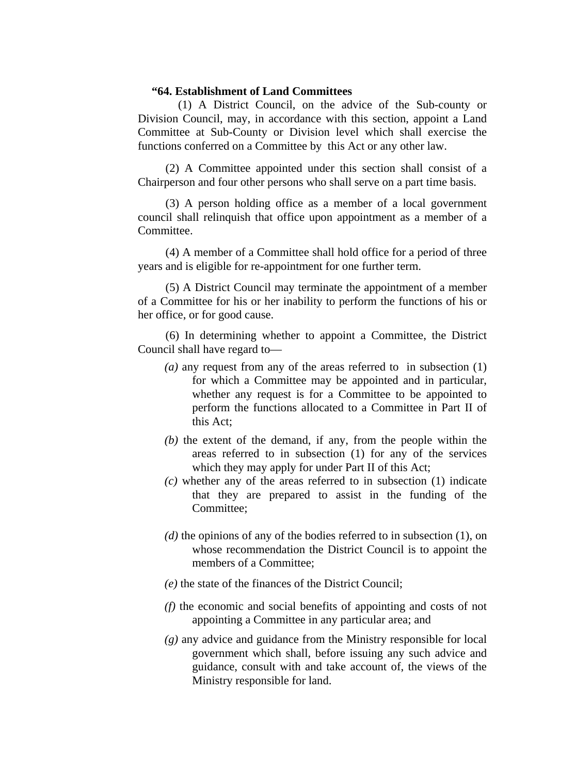## **"64. Establishment of Land Committees**

 (1) A District Council, on the advice of the Sub-county or Division Council, may, in accordance with this section, appoint a Land Committee at Sub-County or Division level which shall exercise the functions conferred on a Committee by this Act or any other law.

(2) A Committee appointed under this section shall consist of a Chairperson and four other persons who shall serve on a part time basis.

(3) A person holding office as a member of a local government council shall relinquish that office upon appointment as a member of a Committee.

(4) A member of a Committee shall hold office for a period of three years and is eligible for re-appointment for one further term.

(5) A District Council may terminate the appointment of a member of a Committee for his or her inability to perform the functions of his or her office, or for good cause.

(6) In determining whether to appoint a Committee, the District Council shall have regard to—

- *(a)* any request from any of the areas referred to in subsection (1) for which a Committee may be appointed and in particular, whether any request is for a Committee to be appointed to perform the functions allocated to a Committee in Part II of this Act;
- *(b)* the extent of the demand, if any, from the people within the areas referred to in subsection (1) for any of the services which they may apply for under Part II of this Act;
- *(c)* whether any of the areas referred to in subsection (1) indicate that they are prepared to assist in the funding of the Committee;
- *(d)* the opinions of any of the bodies referred to in subsection (1), on whose recommendation the District Council is to appoint the members of a Committee;
- *(e)* the state of the finances of the District Council;
- *(f)* the economic and social benefits of appointing and costs of not appointing a Committee in any particular area; and
- *(g)* any advice and guidance from the Ministry responsible for local government which shall, before issuing any such advice and guidance, consult with and take account of, the views of the Ministry responsible for land.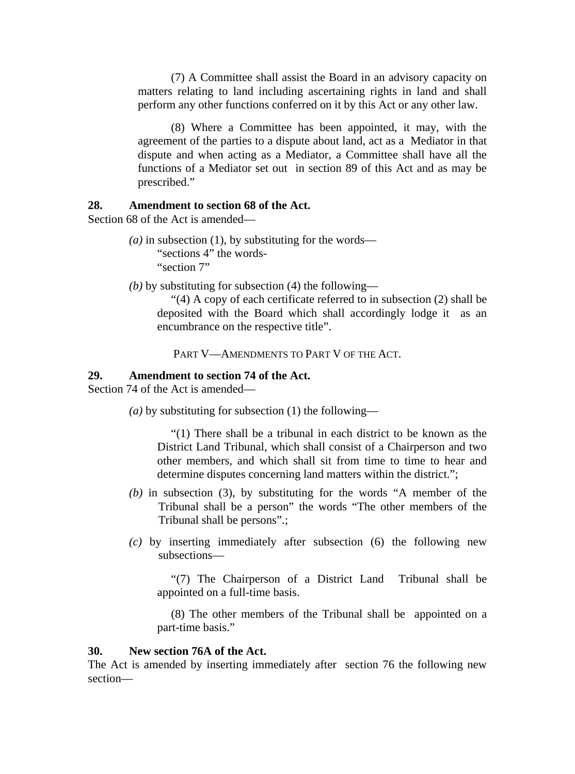(7) A Committee shall assist the Board in an advisory capacity on matters relating to land including ascertaining rights in land and shall perform any other functions conferred on it by this Act or any other law.

(8) Where a Committee has been appointed, it may, with the agreement of the parties to a dispute about land, act as a Mediator in that dispute and when acting as a Mediator, a Committee shall have all the functions of a Mediator set out in section 89 of this Act and as may be prescribed."

## **28. Amendment to section 68 of the Act.**

Section 68 of the Act is amended—

- $(a)$  in subsection (1), by substituting for the words— "sections 4" the words-"section 7"
- *(b)* by substituting for subsection (4) the following—

"(4) A copy of each certificate referred to in subsection (2) shall be deposited with the Board which shall accordingly lodge it as an encumbrance on the respective title".

PART V—AMENDMENTS TO PART V OF THE ACT.

### **29. Amendment to section 74 of the Act.**

Section 74 of the Act is amended—

*(a)* by substituting for subsection (1) the following—

"(1) There shall be a tribunal in each district to be known as the District Land Tribunal, which shall consist of a Chairperson and two other members, and which shall sit from time to time to hear and determine disputes concerning land matters within the district.";

- *(b)* in subsection (3), by substituting for the words "A member of the Tribunal shall be a person" the words "The other members of the Tribunal shall be persons".;
- *(c)* by inserting immediately after subsection (6) the following new subsections—

"(7) The Chairperson of a District Land Tribunal shall be appointed on a full-time basis.

(8) The other members of the Tribunal shall be appointed on a part-time basis."

### **30. New section 76A of the Act.**

The Act is amended by inserting immediately after section 76 the following new section—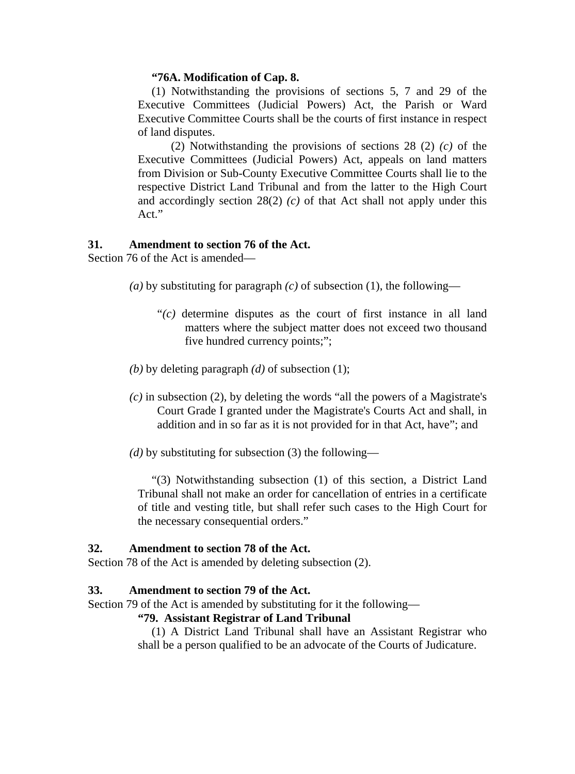### **"76A. Modification of Cap. 8.**

(1) Notwithstanding the provisions of sections 5, 7 and 29 of the Executive Committees (Judicial Powers) Act, the Parish or Ward Executive Committee Courts shall be the courts of first instance in respect of land disputes.

(2) Notwithstanding the provisions of sections 28 (2) *(c)* of the Executive Committees (Judicial Powers) Act, appeals on land matters from Division or Sub-County Executive Committee Courts shall lie to the respective District Land Tribunal and from the latter to the High Court and accordingly section 28(2) *(c)* of that Act shall not apply under this Act."

### **31. Amendment to section 76 of the Act.**

Section 76 of the Act is amended—

- (*a*) by substituting for paragraph  $(c)$  of subsection (1), the following—
	- "*(c)* determine disputes as the court of first instance in all land matters where the subject matter does not exceed two thousand five hundred currency points;";
- *(b)* by deleting paragraph *(d)* of subsection (1);
- *(c)* in subsection (2), by deleting the words "all the powers of a Magistrate's Court Grade I granted under the Magistrate's Courts Act and shall, in addition and in so far as it is not provided for in that Act, have"; and
- *(d)* by substituting for subsection (3) the following—

"(3) Notwithstanding subsection (1) of this section, a District Land Tribunal shall not make an order for cancellation of entries in a certificate of title and vesting title, but shall refer such cases to the High Court for the necessary consequential orders."

## **32. Amendment to section 78 of the Act.**

Section 78 of the Act is amended by deleting subsection (2).

### **33. Amendment to section 79 of the Act.**

Section 79 of the Act is amended by substituting for it the following—

### **"79. Assistant Registrar of Land Tribunal**

(1) A District Land Tribunal shall have an Assistant Registrar who shall be a person qualified to be an advocate of the Courts of Judicature.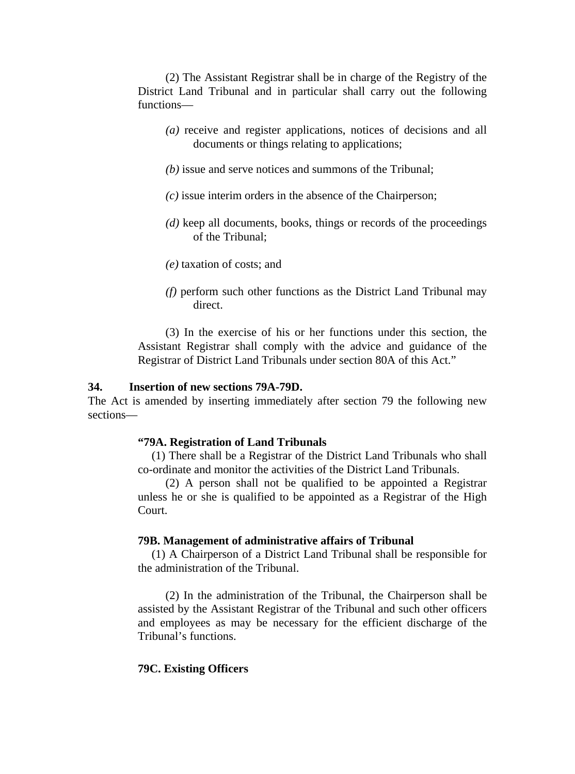(2) The Assistant Registrar shall be in charge of the Registry of the District Land Tribunal and in particular shall carry out the following functions—

- *(a)* receive and register applications, notices of decisions and all documents or things relating to applications;
- *(b)* issue and serve notices and summons of the Tribunal;
- *(c)* issue interim orders in the absence of the Chairperson;
- *(d)* keep all documents, books, things or records of the proceedings of the Tribunal;
- *(e)* taxation of costs; and
- *(f)* perform such other functions as the District Land Tribunal may direct.

(3) In the exercise of his or her functions under this section, the Assistant Registrar shall comply with the advice and guidance of the Registrar of District Land Tribunals under section 80A of this Act."

#### **34. Insertion of new sections 79A-79D.**

The Act is amended by inserting immediately after section 79 the following new sections—

#### **"79A. Registration of Land Tribunals**

(1) There shall be a Registrar of the District Land Tribunals who shall co-ordinate and monitor the activities of the District Land Tribunals.

(2) A person shall not be qualified to be appointed a Registrar unless he or she is qualified to be appointed as a Registrar of the High Court.

#### **79B. Management of administrative affairs of Tribunal**

(1) A Chairperson of a District Land Tribunal shall be responsible for the administration of the Tribunal.

(2) In the administration of the Tribunal, the Chairperson shall be assisted by the Assistant Registrar of the Tribunal and such other officers and employees as may be necessary for the efficient discharge of the Tribunal's functions.

### **79C. Existing Officers**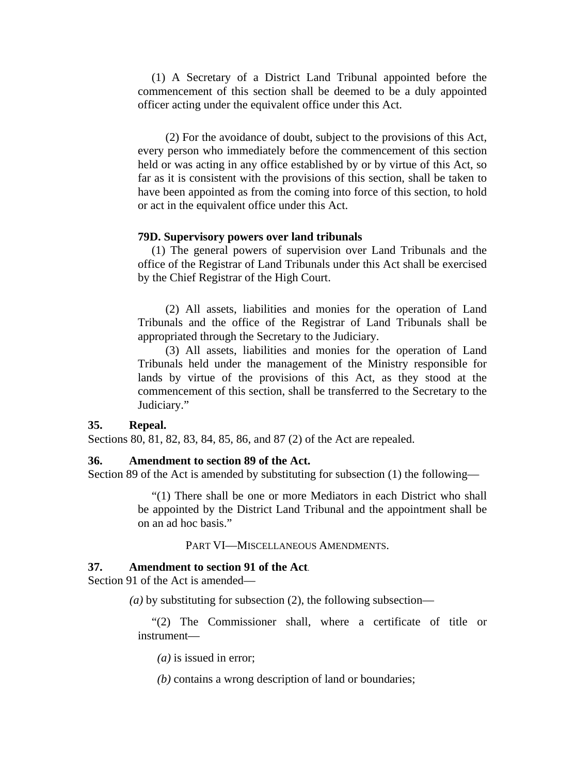(1) A Secretary of a District Land Tribunal appointed before the commencement of this section shall be deemed to be a duly appointed officer acting under the equivalent office under this Act.

(2) For the avoidance of doubt, subject to the provisions of this Act, every person who immediately before the commencement of this section held or was acting in any office established by or by virtue of this Act, so far as it is consistent with the provisions of this section, shall be taken to have been appointed as from the coming into force of this section, to hold or act in the equivalent office under this Act.

### **79D. Supervisory powers over land tribunals**

(1) The general powers of supervision over Land Tribunals and the office of the Registrar of Land Tribunals under this Act shall be exercised by the Chief Registrar of the High Court.

(2) All assets, liabilities and monies for the operation of Land Tribunals and the office of the Registrar of Land Tribunals shall be appropriated through the Secretary to the Judiciary.

(3) All assets, liabilities and monies for the operation of Land Tribunals held under the management of the Ministry responsible for lands by virtue of the provisions of this Act, as they stood at the commencement of this section, shall be transferred to the Secretary to the Judiciary."

#### **35. Repeal.**

Sections 80, 81, 82, 83, 84, 85, 86, and 87 (2) of the Act are repealed.

#### **36. Amendment to section 89 of the Act.**

Section 89 of the Act is amended by substituting for subsection (1) the following—

"(1) There shall be one or more Mediators in each District who shall be appointed by the District Land Tribunal and the appointment shall be on an ad hoc basis."

PART VI—MISCELLANEOUS AMENDMENTS.

### **37. Amendment to section 91 of the Act**.

Section 91 of the Act is amended—

*(a)* by substituting for subsection (2), the following subsection—

"(2) The Commissioner shall, where a certificate of title or instrument—

*(a)* is issued in error;

*(b)* contains a wrong description of land or boundaries;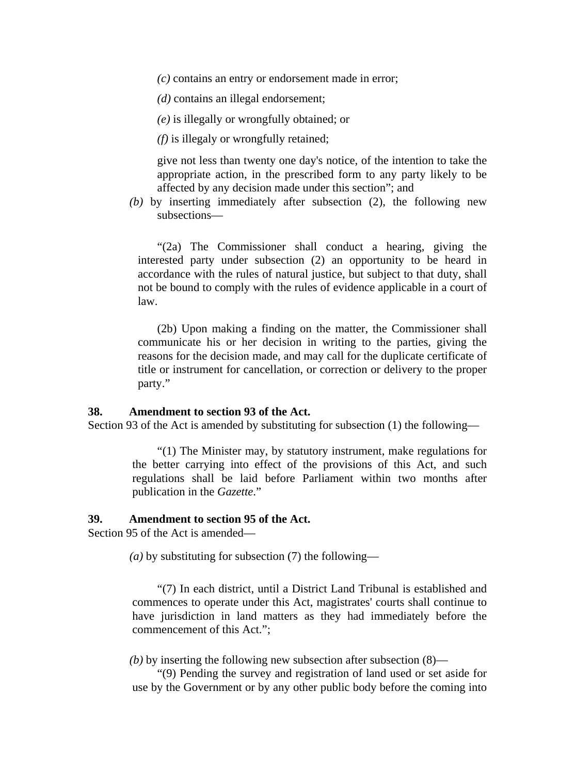*(c)* contains an entry or endorsement made in error;

*(d)* contains an illegal endorsement;

*(e)* is illegally or wrongfully obtained; or

*(f)* is illegaly or wrongfully retained;

give not less than twenty one day's notice, of the intention to take the appropriate action, in the prescribed form to any party likely to be affected by any decision made under this section"; and

*(b)* by inserting immediately after subsection (2), the following new subsections—

"(2a) The Commissioner shall conduct a hearing, giving the interested party under subsection (2) an opportunity to be heard in accordance with the rules of natural justice, but subject to that duty, shall not be bound to comply with the rules of evidence applicable in a court of law.

(2b) Upon making a finding on the matter, the Commissioner shall communicate his or her decision in writing to the parties, giving the reasons for the decision made, and may call for the duplicate certificate of title or instrument for cancellation, or correction or delivery to the proper party."

### **38. Amendment to section 93 of the Act.**

Section 93 of the Act is amended by substituting for subsection (1) the following—

"(1) The Minister may, by statutory instrument, make regulations for the better carrying into effect of the provisions of this Act, and such regulations shall be laid before Parliament within two months after publication in the *Gazette*."

### **39. Amendment to section 95 of the Act.**

Section 95 of the Act is amended—

*(a)* by substituting for subsection (7) the following—

"(7) In each district, until a District Land Tribunal is established and commences to operate under this Act, magistrates' courts shall continue to have jurisdiction in land matters as they had immediately before the commencement of this Act.";

*(b)* by inserting the following new subsection after subsection (8)—

"(9) Pending the survey and registration of land used or set aside for use by the Government or by any other public body before the coming into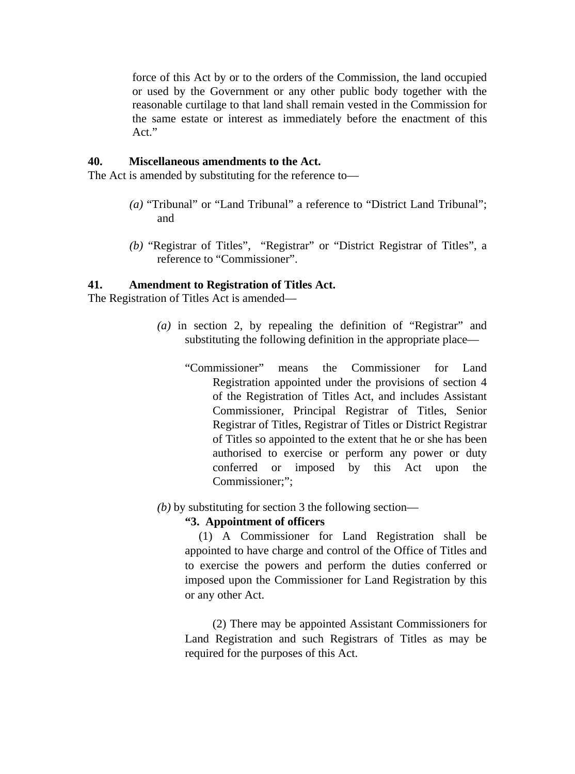force of this Act by or to the orders of the Commission, the land occupied or used by the Government or any other public body together with the reasonable curtilage to that land shall remain vested in the Commission for the same estate or interest as immediately before the enactment of this Act."

### **40. Miscellaneous amendments to the Act.**

The Act is amended by substituting for the reference to—

- *(a)* "Tribunal" or "Land Tribunal" a reference to "District Land Tribunal"; and
- *(b)* "Registrar of Titles", "Registrar" or "District Registrar of Titles", a reference to "Commissioner".

### **41. Amendment to Registration of Titles Act.**

The Registration of Titles Act is amended—

- *(a)* in section 2, by repealing the definition of "Registrar" and substituting the following definition in the appropriate place—
	- "Commissioner" means the Commissioner for Land Registration appointed under the provisions of section 4 of the Registration of Titles Act, and includes Assistant Commissioner, Principal Registrar of Titles, Senior Registrar of Titles, Registrar of Titles or District Registrar of Titles so appointed to the extent that he or she has been authorised to exercise or perform any power or duty conferred or imposed by this Act upon the Commissioner;";
- *(b)* by substituting for section 3 the following section—

### **"3. Appointment of officers**

(1) A Commissioner for Land Registration shall be appointed to have charge and control of the Office of Titles and to exercise the powers and perform the duties conferred or imposed upon the Commissioner for Land Registration by this or any other Act.

(2) There may be appointed Assistant Commissioners for Land Registration and such Registrars of Titles as may be required for the purposes of this Act.